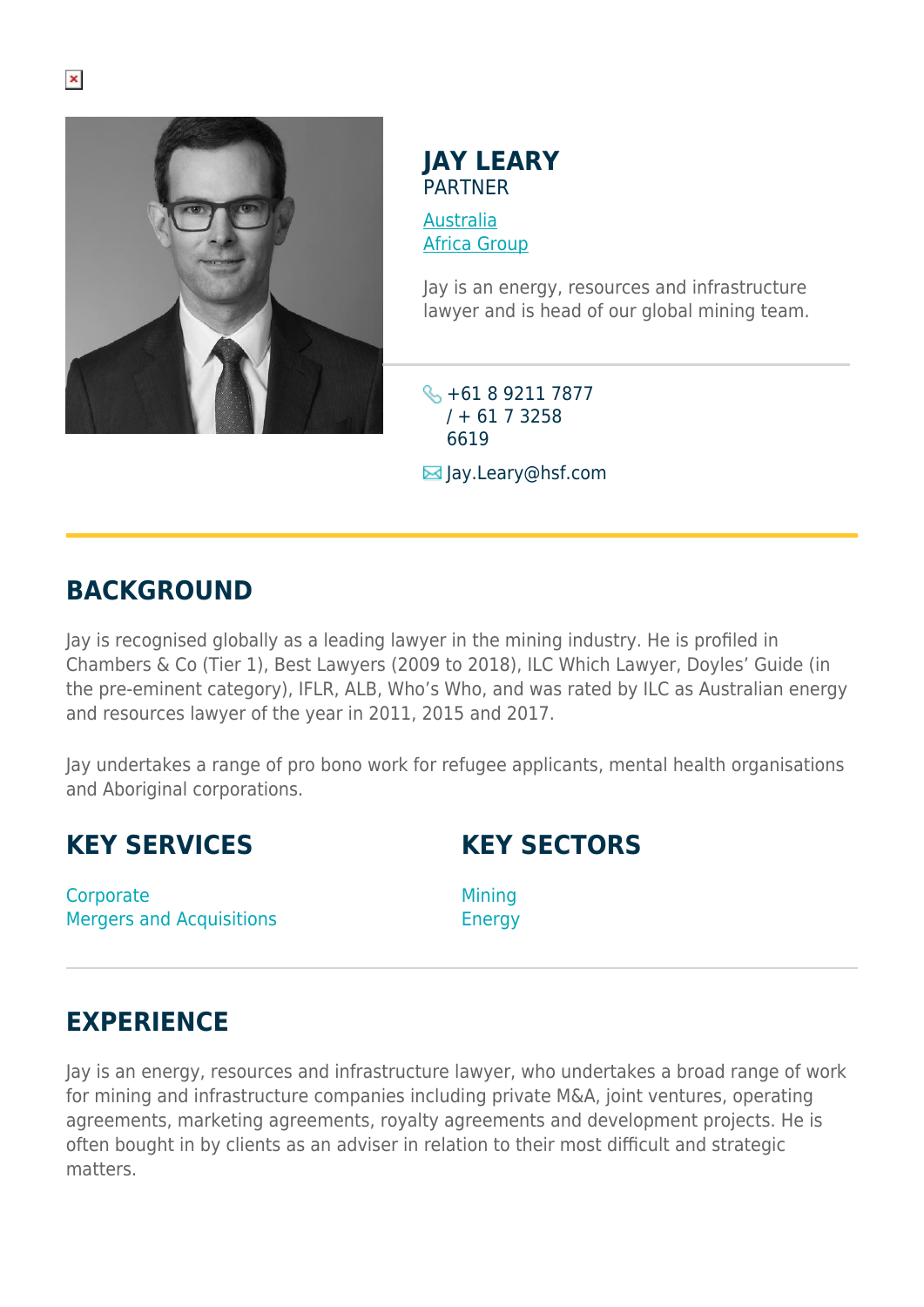

**JAY LEARY PARTNER** 

[Australia](https://www.herbertsmithfreehills.com/lang-es/where-we-work/australia) [Africa Group](https://www.herbertsmithfreehills.com/lang-es/where-we-work/africa-group)

Jay is an energy, resources and infrastructure lawyer and is head of our global mining team.

+61 8 9211 7877  $/ + 6173258$ 6619

 $\blacksquare$  Jay.Leary@hsf.com

# **BACKGROUND**

Jay is recognised globally as a leading lawyer in the mining industry. He is profiled in Chambers & Co (Tier 1), Best Lawyers (2009 to 2018), ILC Which Lawyer, Doyles' Guide (in the pre-eminent category), IFLR, ALB, Who's Who, and was rated by ILC as Australian energy and resources lawyer of the year in 2011, 2015 and 2017.

Jay undertakes a range of pro bono work for refugee applicants, mental health organisations and Aboriginal corporations.

**Corporate** Mergers and Acquisitions **KEY SECTORS**

**Mining** Energy

## **EXPERIENCE**

Jay is an energy, resources and infrastructure lawyer, who undertakes a broad range of work for mining and infrastructure companies including private M&A, joint ventures, operating agreements, marketing agreements, royalty agreements and development projects. He is often bought in by clients as an adviser in relation to their most difficult and strategic matters.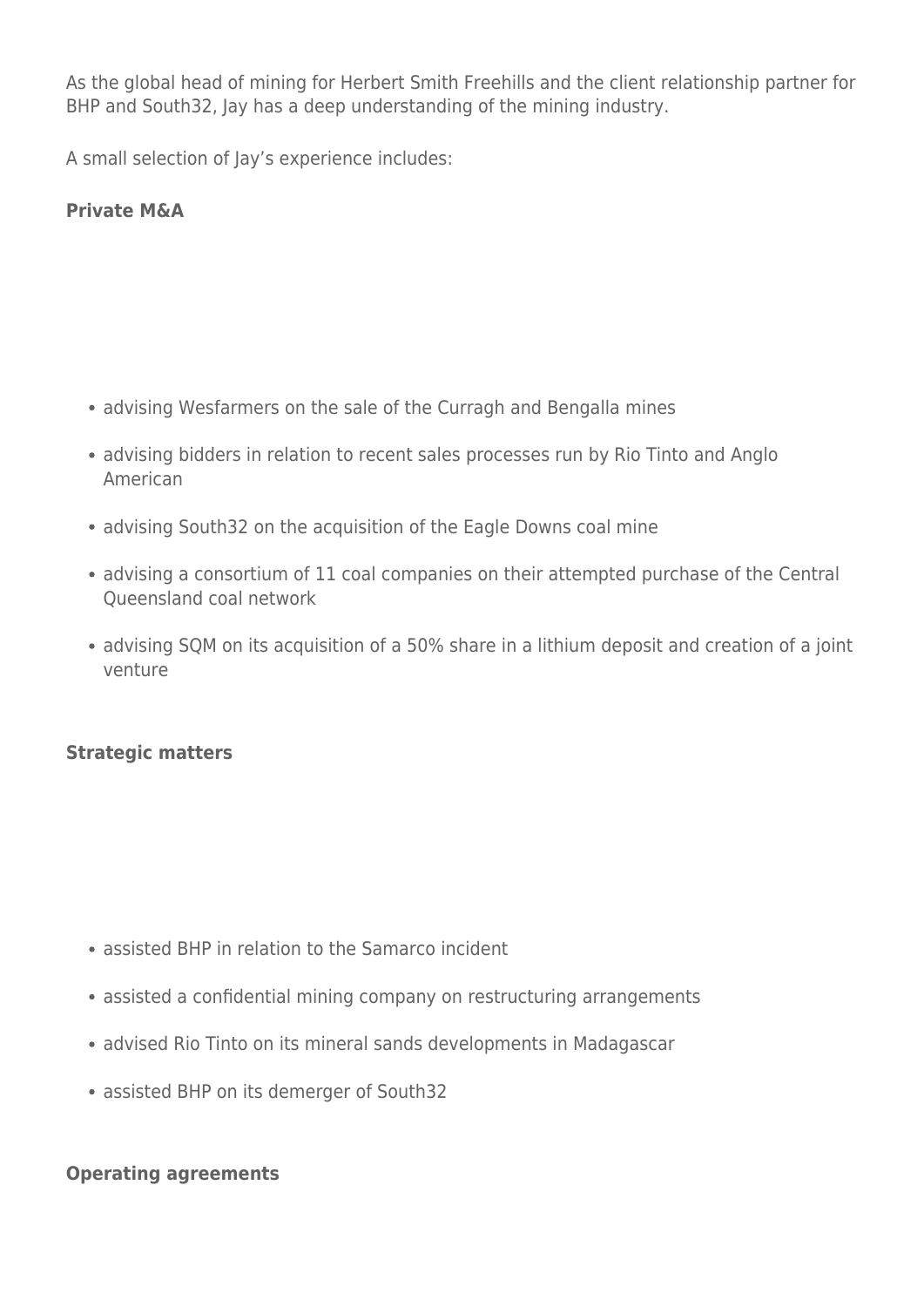As the global head of mining for Herbert Smith Freehills and the client relationship partner for BHP and South32, Jay has a deep understanding of the mining industry.

A small selection of Jay's experience includes:

## **Private M&A**

- advising Wesfarmers on the sale of the Curragh and Bengalla mines
- advising bidders in relation to recent sales processes run by Rio Tinto and Anglo American
- advising South32 on the acquisition of the Eagle Downs coal mine
- advising a consortium of 11 coal companies on their attempted purchase of the Central Queensland coal network
- advising SQM on its acquisition of a 50% share in a lithium deposit and creation of a joint venture

## **Strategic matters**

- assisted BHP in relation to the Samarco incident
- assisted a confidential mining company on restructuring arrangements
- advised Rio Tinto on its mineral sands developments in Madagascar
- assisted BHP on its demerger of South32

## **Operating agreements**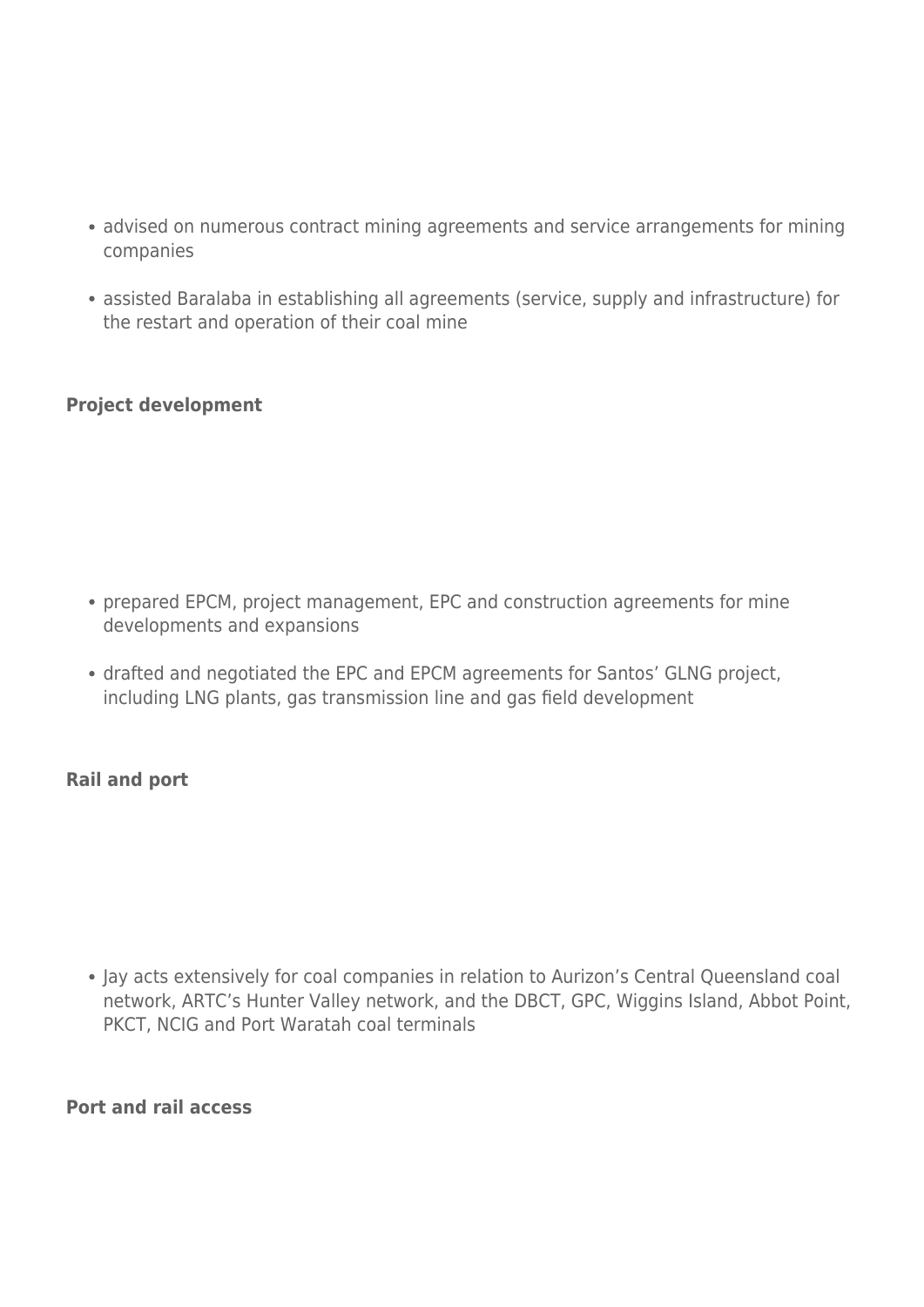- advised on numerous contract mining agreements and service arrangements for mining companies
- assisted Baralaba in establishing all agreements (service, supply and infrastructure) for the restart and operation of their coal mine

## **Project development**

- prepared EPCM, project management, EPC and construction agreements for mine developments and expansions
- drafted and negotiated the EPC and EPCM agreements for Santos' GLNG project, including LNG plants, gas transmission line and gas field development

## **Rail and port**

Jay acts extensively for coal companies in relation to Aurizon's Central Queensland coal network, ARTC's Hunter Valley network, and the DBCT, GPC, Wiggins Island, Abbot Point, PKCT, NCIG and Port Waratah coal terminals

**Port and rail access**